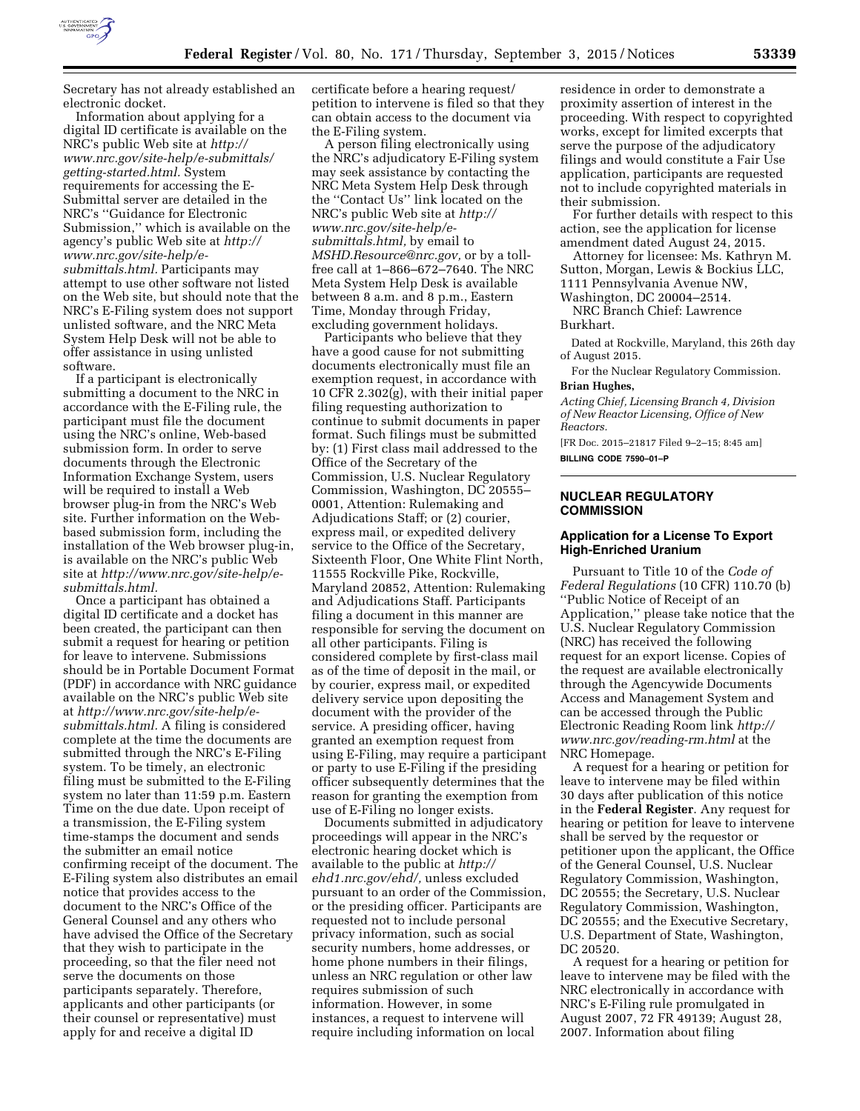

Secretary has not already established an electronic docket.

Information about applying for a digital ID certificate is available on the NRC's public Web site at *[http://](http://www.nrc.gov/site-help/e-submittals/getting-started.html) [www.nrc.gov/site-help/e-submittals/](http://www.nrc.gov/site-help/e-submittals/getting-started.html)  [getting-started.html.](http://www.nrc.gov/site-help/e-submittals/getting-started.html)* System requirements for accessing the E-Submittal server are detailed in the NRC's ''Guidance for Electronic Submission,'' which is available on the agency's public Web site at *[http://](http://www.nrc.gov/site-help/e-submittals.html)  [www.nrc.gov/site-help/e](http://www.nrc.gov/site-help/e-submittals.html)[submittals.html.](http://www.nrc.gov/site-help/e-submittals.html)* Participants may attempt to use other software not listed on the Web site, but should note that the NRC's E-Filing system does not support unlisted software, and the NRC Meta System Help Desk will not be able to offer assistance in using unlisted software.

If a participant is electronically submitting a document to the NRC in accordance with the E-Filing rule, the participant must file the document using the NRC's online, Web-based submission form. In order to serve documents through the Electronic Information Exchange System, users will be required to install a Web browser plug-in from the NRC's Web site. Further information on the Webbased submission form, including the installation of the Web browser plug-in, is available on the NRC's public Web site at *[http://www.nrc.gov/site-help/e](http://www.nrc.gov/site-help/e-submittals.html)[submittals.html.](http://www.nrc.gov/site-help/e-submittals.html)* 

Once a participant has obtained a digital ID certificate and a docket has been created, the participant can then submit a request for hearing or petition for leave to intervene. Submissions should be in Portable Document Format (PDF) in accordance with NRC guidance available on the NRC's public Web site at *[http://www.nrc.gov/site-help/e](http://www.nrc.gov/site-help/e-submittals.html)[submittals.html.](http://www.nrc.gov/site-help/e-submittals.html)* A filing is considered complete at the time the documents are submitted through the NRC's E-Filing system. To be timely, an electronic filing must be submitted to the E-Filing system no later than 11:59 p.m. Eastern Time on the due date. Upon receipt of a transmission, the E-Filing system time-stamps the document and sends the submitter an email notice confirming receipt of the document. The E-Filing system also distributes an email notice that provides access to the document to the NRC's Office of the General Counsel and any others who have advised the Office of the Secretary that they wish to participate in the proceeding, so that the filer need not serve the documents on those participants separately. Therefore, applicants and other participants (or their counsel or representative) must apply for and receive a digital ID

certificate before a hearing request/ petition to intervene is filed so that they can obtain access to the document via the E-Filing system.

A person filing electronically using the NRC's adjudicatory E-Filing system may seek assistance by contacting the NRC Meta System Help Desk through the ''Contact Us'' link located on the NRC's public Web site at *[http://](http://www.nrc.gov/site-help/e-submittals.html) [www.nrc.gov/site-help/e](http://www.nrc.gov/site-help/e-submittals.html)[submittals.html,](http://www.nrc.gov/site-help/e-submittals.html)* by email to *[MSHD.Resource@nrc.gov,](mailto:MSHD.Resource@nrc.gov)* or by a tollfree call at 1–866–672–7640. The NRC Meta System Help Desk is available between 8 a.m. and 8 p.m., Eastern Time, Monday through Friday, excluding government holidays.

Participants who believe that they have a good cause for not submitting documents electronically must file an exemption request, in accordance with 10 CFR 2.302(g), with their initial paper filing requesting authorization to continue to submit documents in paper format. Such filings must be submitted by: (1) First class mail addressed to the Office of the Secretary of the Commission, U.S. Nuclear Regulatory Commission, Washington, DC 20555– 0001, Attention: Rulemaking and Adjudications Staff; or (2) courier, express mail, or expedited delivery service to the Office of the Secretary, Sixteenth Floor, One White Flint North, 11555 Rockville Pike, Rockville, Maryland 20852, Attention: Rulemaking and Adjudications Staff. Participants filing a document in this manner are responsible for serving the document on all other participants. Filing is considered complete by first-class mail as of the time of deposit in the mail, or by courier, express mail, or expedited delivery service upon depositing the document with the provider of the service. A presiding officer, having granted an exemption request from using E-Filing, may require a participant or party to use E-Filing if the presiding officer subsequently determines that the reason for granting the exemption from use of E-Filing no longer exists.

Documents submitted in adjudicatory proceedings will appear in the NRC's electronic hearing docket which is available to the public at *[http://](http://ehd1.nrc.gov/ehd/)  [ehd1.nrc.gov/ehd/,](http://ehd1.nrc.gov/ehd/)* unless excluded pursuant to an order of the Commission, or the presiding officer. Participants are requested not to include personal privacy information, such as social security numbers, home addresses, or home phone numbers in their filings, unless an NRC regulation or other law requires submission of such information. However, in some instances, a request to intervene will require including information on local

residence in order to demonstrate a proximity assertion of interest in the proceeding. With respect to copyrighted works, except for limited excerpts that serve the purpose of the adjudicatory filings and would constitute a Fair Use application, participants are requested not to include copyrighted materials in their submission.

For further details with respect to this action, see the application for license amendment dated August 24, 2015.

Attorney for licensee: Ms. Kathryn M. Sutton, Morgan, Lewis & Bockius LLC,

1111 Pennsylvania Avenue NW,

Washington, DC 20004–2514. NRC Branch Chief: Lawrence

Burkhart.

Dated at Rockville, Maryland, this 26th day of August 2015.

For the Nuclear Regulatory Commission. **Brian Hughes,** 

*Acting Chief, Licensing Branch 4, Division of New Reactor Licensing, Office of New Reactors.* 

[FR Doc. 2015–21817 Filed 9–2–15; 8:45 am] **BILLING CODE 7590–01–P** 

# **NUCLEAR REGULATORY COMMISSION**

### **Application for a License To Export High-Enriched Uranium**

Pursuant to Title 10 of the *Code of Federal Regulations* (10 CFR) 110.70 (b) ''Public Notice of Receipt of an Application,'' please take notice that the U.S. Nuclear Regulatory Commission (NRC) has received the following request for an export license. Copies of the request are available electronically through the Agencywide Documents Access and Management System and can be accessed through the Public Electronic Reading Room link *[http://](http://www.nrc.gov/reading-rm.html) [www.nrc.gov/reading-rm.html](http://www.nrc.gov/reading-rm.html)* at the NRC Homepage.

A request for a hearing or petition for leave to intervene may be filed within 30 days after publication of this notice in the **Federal Register**. Any request for hearing or petition for leave to intervene shall be served by the requestor or petitioner upon the applicant, the Office of the General Counsel, U.S. Nuclear Regulatory Commission, Washington, DC 20555; the Secretary, U.S. Nuclear Regulatory Commission, Washington, DC 20555; and the Executive Secretary, U.S. Department of State, Washington, DC 20520.

A request for a hearing or petition for leave to intervene may be filed with the NRC electronically in accordance with NRC's E-Filing rule promulgated in August 2007, 72 FR 49139; August 28, 2007. Information about filing